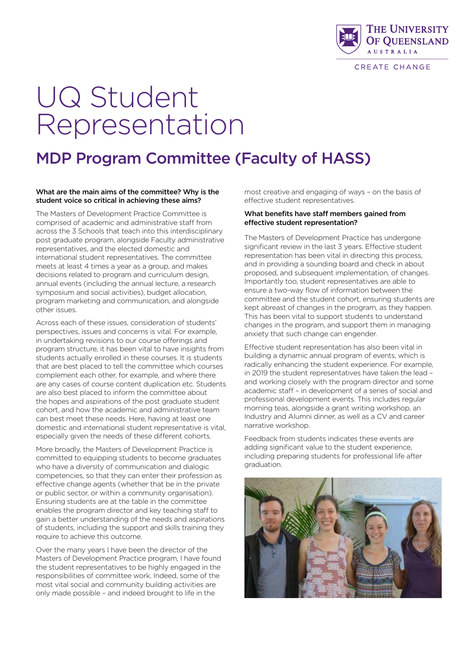

CREATE CHANGE

# UQ Student Representation

## MDP Program Committee (Faculty of HASS)

#### What are the main aims of the committee? Why is the student voice so critical in achieving these aims?

The Masters of Development Practice Committee is comprised of academic and administrative staff from across the 3 Schools that teach into this interdisciplinary post graduate program, alongside Faculty administrative representatives, and the elected domestic and international student representatives. The committee meets at least 4 times a year as a group, and makes decisions related to program and curriculum design, annual events (including the annual lecture, a research symposium and social activities), budget allocation, program marketing and communication, and alongside other issues.

Across each of these issues, consideration of students' perspectives, issues and concerns is vital. For example, in undertaking revisions to our course offerings and program structure, it has been vital to have insights from students actually enrolled in these courses. It is students that are best placed to tell the committee which courses complement each other, for example, and where there are any cases of course content duplication etc. Students are also best placed to inform the committee about the hopes and aspirations of the post graduate student cohort, and how the academic and administrative team can best meet these needs. Here, having at least one domestic and international student representative is vital, especially given the needs of these different cohorts.

More broadly, the Masters of Development Practice is committed to equipping students to become graduates who have a diversity of communication and dialogic competencies, so that they can enter their profession as effective change agents (whether that be in the private or public sector, or within a community organisation). Ensuring students are at the table in the committee enables the program director and key teaching staff to gain a better understanding of the needs and aspirations of students, including the support and skills training they require to achieve this outcome.

Over the many years I have been the director of the Masters of Development Practice program, I have found the student representatives to be highly engaged in the responsibilities of committee work. Indeed, some of the most vital social and community building activities are only made possible – and indeed brought to life in the

most creative and engaging of ways – on the basis of effective student representatives.

#### What benefits have staff members gained from effective student representation?

The Masters of Development Practice has undergone significant review in the last 3 years. Effective student representation has been vital in directing this process, and in providing a sounding board and check in about proposed, and subsequent implementation, of changes. Importantly too, student representatives are able to ensure a two-way flow of information between the committee and the student cohort, ensuring students are kept abreast of changes in the program, as they happen. This has been vital to support students to understand changes in the program, and support them in managing anxiety that such change can engender.

Effective student representation has also been vital in building a dynamic annual program of events, which is radically enhancing the student experience. For example, in 2019 the student representatives have taken the lead – and working closely with the program director and some academic staff – in development of a series of social and professional development events. This includes regular morning teas, alongside a grant writing workshop, an Industry and Alumni dinner, as well as a CV and career narrative workshop.

Feedback from students indicates these events are adding significant value to the student experience, including preparing students for professional life after graduation.